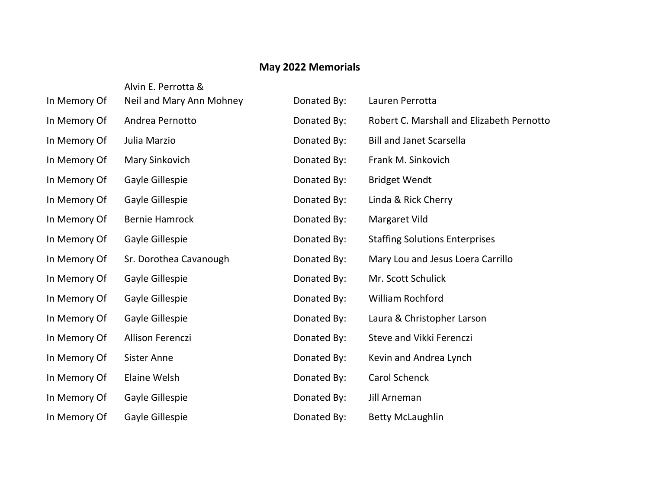## **May 2022 Memorials**

|              | Alvin E. Perrotta &      |             |                                           |
|--------------|--------------------------|-------------|-------------------------------------------|
| In Memory Of | Neil and Mary Ann Mohney | Donated By: | Lauren Perrotta                           |
| In Memory Of | Andrea Pernotto          | Donated By: | Robert C. Marshall and Elizabeth Pernotto |
| In Memory Of | Julia Marzio             | Donated By: | <b>Bill and Janet Scarsella</b>           |
| In Memory Of | Mary Sinkovich           | Donated By: | Frank M. Sinkovich                        |
| In Memory Of | Gayle Gillespie          | Donated By: | <b>Bridget Wendt</b>                      |
| In Memory Of | Gayle Gillespie          | Donated By: | Linda & Rick Cherry                       |
| In Memory Of | <b>Bernie Hamrock</b>    | Donated By: | Margaret Vild                             |
| In Memory Of | Gayle Gillespie          | Donated By: | <b>Staffing Solutions Enterprises</b>     |
| In Memory Of | Sr. Dorothea Cavanough   | Donated By: | Mary Lou and Jesus Loera Carrillo         |
| In Memory Of | Gayle Gillespie          | Donated By: | Mr. Scott Schulick                        |
| In Memory Of | Gayle Gillespie          | Donated By: | <b>William Rochford</b>                   |
| In Memory Of | Gayle Gillespie          | Donated By: | Laura & Christopher Larson                |
| In Memory Of | <b>Allison Ferenczi</b>  | Donated By: | Steve and Vikki Ferenczi                  |
| In Memory Of | <b>Sister Anne</b>       | Donated By: | Kevin and Andrea Lynch                    |
| In Memory Of | <b>Elaine Welsh</b>      | Donated By: | Carol Schenck                             |
| In Memory Of | Gayle Gillespie          | Donated By: | Jill Arneman                              |
| In Memory Of | Gayle Gillespie          | Donated By: | <b>Betty McLaughlin</b>                   |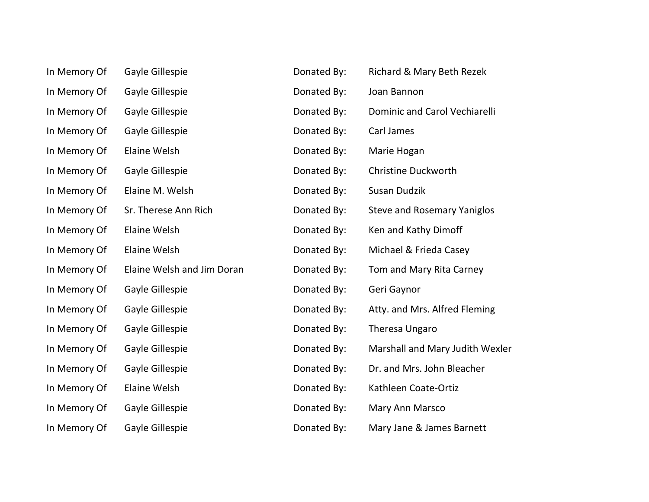| In Memory Of | Gayle Gillespie            | Donated By: | Richard & Mary Beth Rezek          |
|--------------|----------------------------|-------------|------------------------------------|
| In Memory Of | Gayle Gillespie            | Donated By: | Joan Bannon                        |
| In Memory Of | Gayle Gillespie            | Donated By: | Dominic and Carol Vechiarelli      |
| In Memory Of | Gayle Gillespie            | Donated By: | Carl James                         |
| In Memory Of | <b>Elaine Welsh</b>        | Donated By: | Marie Hogan                        |
| In Memory Of | Gayle Gillespie            | Donated By: | <b>Christine Duckworth</b>         |
| In Memory Of | Elaine M. Welsh            | Donated By: | Susan Dudzik                       |
| In Memory Of | Sr. Therese Ann Rich       | Donated By: | <b>Steve and Rosemary Yaniglos</b> |
| In Memory Of | <b>Elaine Welsh</b>        | Donated By: | Ken and Kathy Dimoff               |
| In Memory Of | <b>Elaine Welsh</b>        | Donated By: | Michael & Frieda Casey             |
| In Memory Of | Elaine Welsh and Jim Doran | Donated By: | Tom and Mary Rita Carney           |
| In Memory Of | Gayle Gillespie            | Donated By: | Geri Gaynor                        |
| In Memory Of | Gayle Gillespie            | Donated By: | Atty. and Mrs. Alfred Fleming      |
| In Memory Of | Gayle Gillespie            | Donated By: | Theresa Ungaro                     |
| In Memory Of | Gayle Gillespie            | Donated By: | Marshall and Mary Judith Wexler    |
| In Memory Of | Gayle Gillespie            | Donated By: | Dr. and Mrs. John Bleacher         |
| In Memory Of | Elaine Welsh               | Donated By: | Kathleen Coate-Ortiz               |
| In Memory Of | Gayle Gillespie            | Donated By: | Mary Ann Marsco                    |
| In Memory Of | Gayle Gillespie            | Donated By: | Mary Jane & James Barnett          |